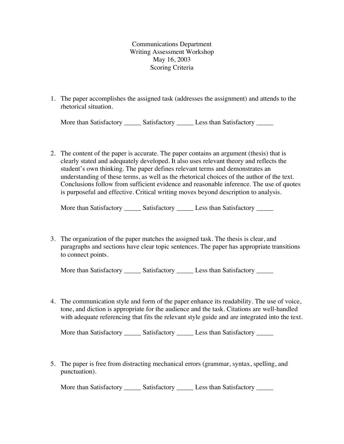Communications Department Writing Assessment Workshop May 16, 2003 Scoring Criteria

1. The paper accomplishes the assigned task (addresses the assignment) and attends to the rhetorical situation.

| More than Satisfactory | Satisfactory | Less than Satisfactory |  |
|------------------------|--------------|------------------------|--|
|------------------------|--------------|------------------------|--|

2. The content of the paper is accurate. The paper contains an argument (thesis) that is clearly stated and adequately developed. It also uses relevant theory and reflects the student's own thinking. The paper defines relevant terms and demonstrates an understanding of these terms, as well as the rhetorical choices of the author of the text. Conclusions follow from sufficient evidence and reasonable inference. The use of quotes is purposeful and effective. Critical writing moves beyond description to analysis.

More than Satisfactory \_\_\_\_\_\_\_ Satisfactory \_\_\_\_\_\_\_ Less than Satisfactory \_\_\_\_\_\_

3. The organization of the paper matches the assigned task. The thesis is clear, and paragraphs and sections have clear topic sentences. The paper has appropriate transitions to connect points.

| More than Satisfactory | Satisfactory | Less than Satisfactory |  |
|------------------------|--------------|------------------------|--|
|------------------------|--------------|------------------------|--|

4. The communication style and form of the paper enhance its readability. The use of voice, tone, and diction is appropriate for the audience and the task. Citations are well-handled with adequate referencing that fits the relevant style guide and are integrated into the text.

More than Satisfactory \_\_\_\_\_\_ Satisfactory \_\_\_\_\_ Less than Satisfactory \_\_\_\_\_

5. The paper is free from distracting mechanical errors (grammar, syntax, spelling, and punctuation).

More than Satisfactory \_\_\_\_\_\_ Satisfactory \_\_\_\_\_ Less than Satisfactory \_\_\_\_\_